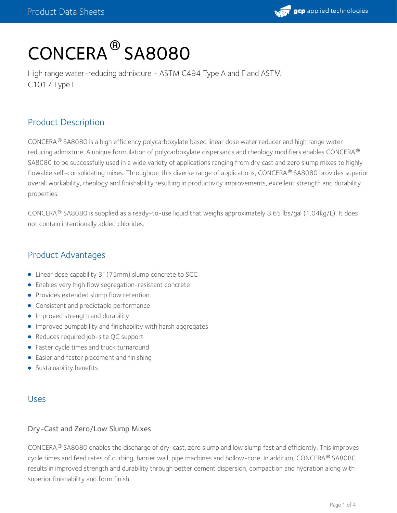

# CONCERA ® SA8080

High range water-reducing admixture - ASTM C494 Type A and F and ASTM C1017 Type I

# Product Description

CONCERA® SA8080 is a high efficiency polycarboxylate based linear dose water reducer and high range water reducing admixture. A unique formulation of polycarboxylate dispersants and rheology modifiers enables CONCERA  $^\circledR$ SA8080 to be successfully used in a wide variety of applications ranging from dry cast and zero slump mixes to highly flowable self-consolidating mixes. Throughout this diverse range of applications, CONCERA® SA8080 provides superior overall workability, rheology and finishability resulting in productivity improvements, excellent strength and durability properties.

CONCERA  $^@$  SA8080 is supplied as a ready-to-use liquid that weighs approximately 8.65 lbs/gal (1.04kg/L). It does not contain intentionally added chlorides.

# Product Advantages

- Linear dose capability 3" (75mm) slump concrete to SCC
- Enables very high flow segregation-resistant concrete
- **•** Provides extended slump flow retention
- **•** Consistent and predictable performance
- **Improved strength and durability**
- Improved pumpability and finishability with harsh aggregates
- Reduces required job-site QC support
- Faster cycle times and truck turnaround
- Easier and faster placement and finishing
- **Sustainability benefits**

# Uses

# Dry-Cast and Zero/Low Slump Mixes

 $\mathsf{CONCERA}^{\circledast}$  SA8080 enables the discharge of dry-cast, zero slump and low slump fast and efficiently. This improves cycle times and feed rates of curbing, barrier wall, pipe machines and hollow-core. In addition, CONCERA® SA8080 results in improved strength and durability through better cement dispersion, compaction and hydration along with superior finishability and form finish.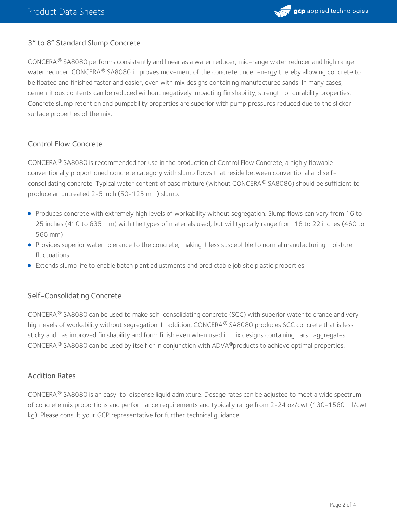

# 3" to 8" Standard Slump Concrete

CONCERA® SA8080 performs consistently and linear as a water reducer, mid-range water reducer and high range water reducer. CONCERA  $^\circ$  SA8080 improves movement of the concrete under energy thereby allowing concrete to be floated and finished faster and easier, even with mix designs containing manufactured sands. In many cases, cementitious contents can be reduced without negatively impacting finishability, strength or durability properties. Concrete slump retention and pumpability properties are superior with pump pressures reduced due to the slicker surface properties of the mix.

#### Control Flow Concrete

CONCERA $^{\circledR}$  SA8080 is recommended for use in the production of Control Flow Concrete, a highly flowable conventionally proportioned concrete category with slump flows that reside between conventional and selfconsolidating concrete. Typical water content of base mixture (without CONCERA® SA8080) should be sufficient to produce an untreated 2-5 inch (50-125 mm) slump.

- Produces concrete with extremely high levels of workability without segregation. Slump flows can vary from 16 to 25 inches (410 to 635 mm) with the types of materials used, but will typically range from 18 to 22 inches (460 to 560 mm)
- Provides superior water tolerance to the concrete, making it less susceptible to normal manufacturing moisture fluctuations
- Extends slump life to enable batch plant adjustments and predictable job site plastic properties

#### Self-Consolidating Concrete

CONCERA $^{\circledR}$  SA8080 can be used to make self-consolidating concrete (SCC) with superior water tolerance and very high levels of workability without segregation. In addition, CONCERA ® SA8080 produces SCC concrete that is less sticky and has improved finishability and form finish even when used in mix designs containing harsh aggregates. CONCERA  $^{\circledR}$  SA8080 can be used by itself or in conjunction with ADVA $^{\circledR}$ products to achieve optimal properties.

#### Addition Rates

CONCERA  $^\circ$  SA8080 is an easy-to-dispense liquid admixture. Dosage rates can be adjusted to meet a wide spectrum of concrete mix proportions and performance requirements and typically range from 2-24 oz/cwt (130-1560 ml/cwt kg). Please consult your GCP representative for further technical guidance.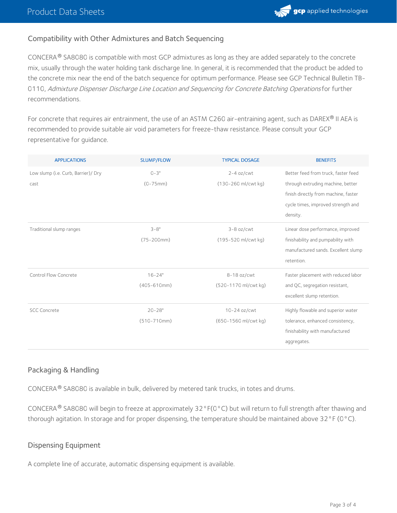# Compatibility with Other Admixtures and Batch Sequencing

CONCERA $^{\circledR}$  SA8080 is compatible with most GCP admixtures as long as they are added separately to the concrete mix, usually through the water holding tank discharge line. In general, it is recommended that the product be added to the concrete mix near the end of the batch sequence for optimum performance. Please see GCP Technical Bulletin TB- 0110, Admixture Dispenser Discharge Line Location and [Sequencing](https://ca.gcpat.com/node/6976) for Concrete Batching Operations for further recommendations.

For concrete that requires air entrainment, the use of an ASTM C260 air-entraining agent, such as DAREX® II AEA is recommended to provide suitable air void parameters for freeze-thaw resistance. Please consult your GCP representative for guidance.

| <b>APPLICATIONS</b>                 | <b>SLUMP/FLOW</b>   | <b>TYPICAL DOSAGE</b>           | <b>BENEFITS</b>                      |
|-------------------------------------|---------------------|---------------------------------|--------------------------------------|
| Low slump (i.e. Curb, Barrier)/ Dry | $0 - 3"$            | $2-4$ oz/cwt                    | Better feed from truck, faster feed  |
| cast                                | $(0 - 75$ mm)       | $(130 - 260 \text{ ml/cwt kg})$ | through extruding machine, better    |
|                                     |                     |                                 | finish directly from machine, faster |
|                                     |                     |                                 | cycle times, improved strength and   |
|                                     |                     |                                 | density.                             |
| Traditional slump ranges            | $3 - 8"$            | $3-8$ oz/cwt                    | Linear dose performance, improved    |
|                                     | $(75 - 200$ mm $)$  | (195-520 ml/cwt kg)             | finishability and pumpability with   |
|                                     |                     |                                 | manufactured sands. Excellent slump  |
|                                     |                     |                                 | retention.                           |
| Control Flow Concrete               | $16 - 24"$          | $8-18$ oz/cwt                   | Faster placement with reduced labor  |
|                                     | $(405 - 610$ mm $)$ | (520-1170 ml/cwt kg)            | and QC, segregation resistant,       |
|                                     |                     |                                 | excellent slump retention.           |
| <b>SCC Concrete</b>                 | $20 - 28"$          | 10-24 oz/cwt                    | Highly flowable and superior water   |
|                                     | $(510 - 710$ mm $)$ | (650-1560 ml/cwt kg)            | tolerance, enhanced consistency,     |
|                                     |                     |                                 | finishability with manufactured      |
|                                     |                     |                                 | aggregates.                          |

# Packaging & Handling

 $CONCERA^@$  SA8080 is available in bulk, delivered by metered tank trucks, in totes and drums.

CONCERA  $^\circ$  SA8080 will begin to freeze at approximately 32°F(0°C) but will return to full strength after thawing and thorough agitation. In storage and for proper dispensing, the temperature should be maintained above 32°F (0°C).

# Dispensing Equipment

A complete line of accurate, automatic dispensing equipment is available.